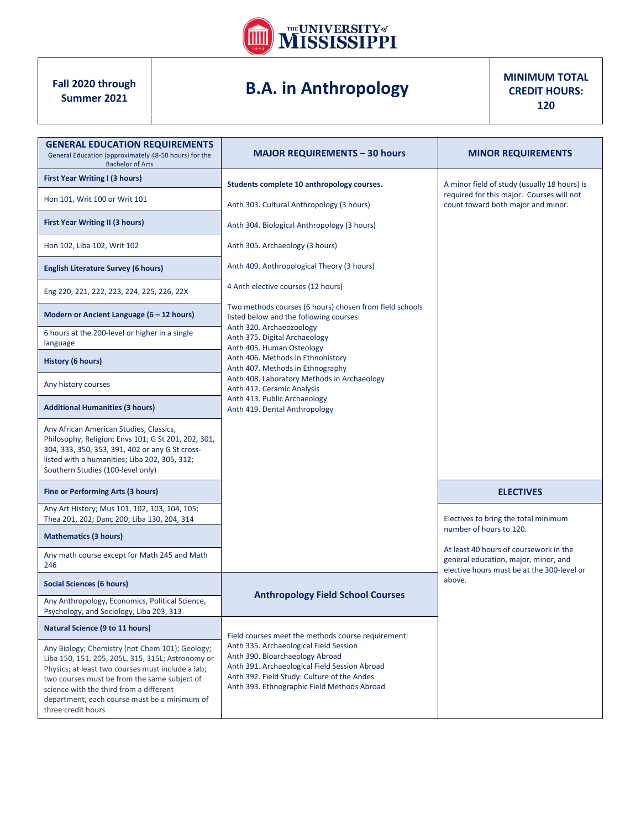

## **B.A. in Anthropology**

**MINIMUM TOTAL CREDIT HOURS: 120**

| <b>GENERAL EDUCATION REQUIREMENTS</b><br>General Education (approximately 48-50 hours) for the<br><b>Bachelor of Arts</b>                                                                                                                                                                                                  | <b>MAJOR REQUIREMENTS - 30 hours</b>                                                                                                                                                                                     | <b>MINOR REQUIREMENTS</b>                                                                                                       |  |
|----------------------------------------------------------------------------------------------------------------------------------------------------------------------------------------------------------------------------------------------------------------------------------------------------------------------------|--------------------------------------------------------------------------------------------------------------------------------------------------------------------------------------------------------------------------|---------------------------------------------------------------------------------------------------------------------------------|--|
| First Year Writing I (3 hours)                                                                                                                                                                                                                                                                                             | Students complete 10 anthropology courses.                                                                                                                                                                               | A minor field of study (usually 18 hours) is<br>required for this major. Courses will not<br>count toward both major and minor. |  |
| Hon 101, Writ 100 or Writ 101                                                                                                                                                                                                                                                                                              | Anth 303. Cultural Anthropology (3 hours)                                                                                                                                                                                |                                                                                                                                 |  |
| <b>First Year Writing II (3 hours)</b>                                                                                                                                                                                                                                                                                     | Anth 304. Biological Anthropology (3 hours)                                                                                                                                                                              |                                                                                                                                 |  |
| Hon 102, Liba 102, Writ 102                                                                                                                                                                                                                                                                                                | Anth 305. Archaeology (3 hours)                                                                                                                                                                                          |                                                                                                                                 |  |
| <b>English Literature Survey (6 hours)</b>                                                                                                                                                                                                                                                                                 | Anth 409. Anthropological Theory (3 hours)                                                                                                                                                                               |                                                                                                                                 |  |
| Eng 220, 221, 222, 223, 224, 225, 226, 22X                                                                                                                                                                                                                                                                                 | 4 Anth elective courses (12 hours)                                                                                                                                                                                       |                                                                                                                                 |  |
| Modern or Ancient Language (6 - 12 hours)                                                                                                                                                                                                                                                                                  | Two methods courses (6 hours) chosen from field schools<br>listed below and the following courses:                                                                                                                       |                                                                                                                                 |  |
| 6 hours at the 200-level or higher in a single<br>language                                                                                                                                                                                                                                                                 | Anth 320. Archaeozoology<br>Anth 375. Digital Archaeology<br>Anth 405. Human Osteology                                                                                                                                   |                                                                                                                                 |  |
| <b>History (6 hours)</b>                                                                                                                                                                                                                                                                                                   | Anth 406. Methods in Ethnohistory<br>Anth 407. Methods in Ethnography                                                                                                                                                    |                                                                                                                                 |  |
| Any history courses                                                                                                                                                                                                                                                                                                        | Anth 408. Laboratory Methods in Archaeology<br>Anth 412. Ceramic Analysis                                                                                                                                                |                                                                                                                                 |  |
| <b>Additional Humanities (3 hours)</b>                                                                                                                                                                                                                                                                                     | Anth 413. Public Archaeology<br>Anth 419. Dental Anthropology                                                                                                                                                            |                                                                                                                                 |  |
| Any African American Studies, Classics,<br>Philosophy, Religion; Envs 101; G St 201, 202, 301,<br>304, 333, 350, 353, 391, 402 or any G St cross-<br>listed with a humanities; Liba 202, 305, 312;<br>Southern Studies (100-level only)                                                                                    |                                                                                                                                                                                                                          |                                                                                                                                 |  |
| <b>Fine or Performing Arts (3 hours)</b>                                                                                                                                                                                                                                                                                   |                                                                                                                                                                                                                          | <b>ELECTIVES</b>                                                                                                                |  |
| Any Art History; Mus 101, 102, 103, 104, 105;<br>Thea 201, 202; Danc 200; Liba 130, 204, 314                                                                                                                                                                                                                               |                                                                                                                                                                                                                          | Electives to bring the total minimum                                                                                            |  |
| <b>Mathematics (3 hours)</b>                                                                                                                                                                                                                                                                                               |                                                                                                                                                                                                                          | number of hours to 120.                                                                                                         |  |
| Any math course except for Math 245 and Math<br>246                                                                                                                                                                                                                                                                        |                                                                                                                                                                                                                          | At least 40 hours of coursework in the<br>general education, major, minor, and<br>elective hours must be at the 300-level or    |  |
| Social Sciences (6 hours)                                                                                                                                                                                                                                                                                                  | <b>Anthropology Field School Courses</b>                                                                                                                                                                                 | above.                                                                                                                          |  |
| Any Anthropology, Economics, Political Science,<br>Psychology, and Sociology, Liba 203, 313                                                                                                                                                                                                                                |                                                                                                                                                                                                                          |                                                                                                                                 |  |
| Natural Science (9 to 11 hours)                                                                                                                                                                                                                                                                                            | Field courses meet the methods course requirement:                                                                                                                                                                       |                                                                                                                                 |  |
| Any Biology; Chemistry (not Chem 101); Geology;<br>Liba 150, 151, 205, 205L, 315, 315L; Astronomy or<br>Physics; at least two courses must include a lab;<br>two courses must be from the same subject of<br>science with the third from a different<br>department; each course must be a minimum of<br>three credit hours | Anth 335. Archaeological Field Session<br>Anth 390. Bioarchaeology Abroad<br>Anth 391. Archaeological Field Session Abroad<br>Anth 392. Field Study: Culture of the Andes<br>Anth 393. Ethnographic Field Methods Abroad |                                                                                                                                 |  |